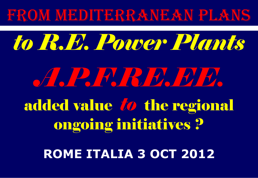#### FROM MEDITERRANEAN PLANS

# *to R.E. Power Plants A.P.F.RE.EE.* added value *to* the regional ongoing initiatives ? **ROME ITALIA 3 OCT 2012**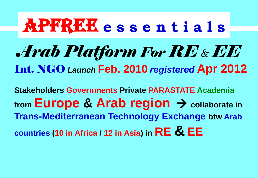## *Arab Platform For RE & EE* Int. NGO *Launch* **Feb. 2010** *registered* **Apr 2012** APFREE **e s s e n t i a l s**

**Stakeholders Governments Private PARASTATE Academia** from **Europe & Arab region** → collaborate in **Trans-Mediterranean Technology Exchange btw Arab countries (10 in Africa / 12 in Asia) in RE & EE**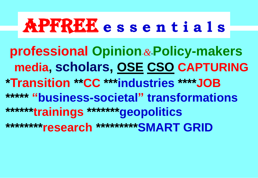## APFREE APFREE **aftere s s e n t i a l s you forget everything**

 **professional Opinion**-*&*-**Policy-makers media, scholars, OSE CSO CAPTURING \*Transition \*\*CC \*\*\*industries \*\*\*\*JOB \*\*\*\*\* "business-societal" transformations \*\*\*\*\*\*trainings \*\*\*\*\*\*\*geopolitics \*\*\*\*\*\*\*\*research \*\*\*\*\*\*\*\*\*SMART GRID**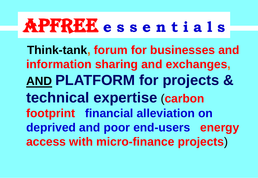### APFREE APFREE **aftere s s e n t i a l s you forget everything**

 **Think-tank, forum for businesses and information sharing and exchanges, AND PLATFORM for projects & technical expertise** (**carbon footprint financial alleviation on deprived and poor end-users energy access with micro-finance projects**)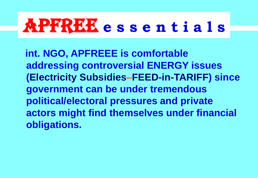### APFREE APFREE **aftere s s e n t i a l s you forget everything**

 **int. NGO, APFREEE is comfortable addressing controversial ENERGY issues (Electricity Subsidies–FEED-in-TARIFF) since government can be under tremendous political/electoral pressures and private actors might find themselves under financial obligations.**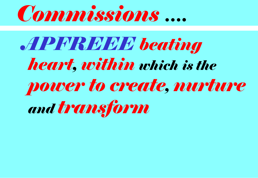

*APFREEE beating heart, within which is the power to create, nurture and transform*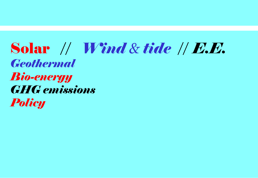#### Solar // *Wind & tide* // *E.E. Geothermal Bio-energy GHG emissions Policy*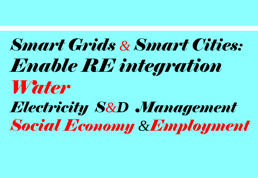## *Smart Grids & Smart Cities: Enable RE integration Water Electricity S&D Management*

*Social Economy &Employment*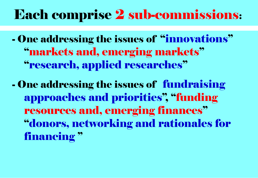#### Each comprise 2 sub-commissions:

- One addressing the issues of "innovations" "markets and, emerging markets" "research, applied researches"

- One addressing the issues of fundraising approaches and priorities", "funding resources and, emerging finances" "donors, networking and rationales for financing "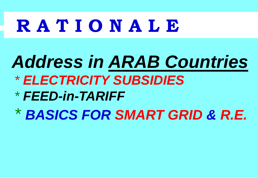## **R A T I O N A L E**

## *Address in ARAB Countries*

- *\* ELECTRICITY SUBSIDIES*
- *\* FEED-in-TARIFF*
- *\* BASICS FOR SMART GRID & R.E.*